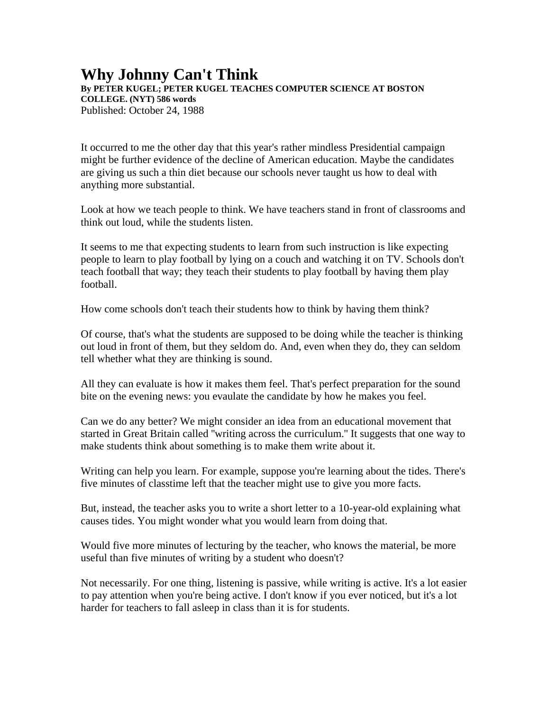## **Why Johnny Can't Think By PETER KUGEL; PETER KUGEL TEACHES COMPUTER SCIENCE AT BOSTON COLLEGE. (NYT) 586 words** Published: October 24, 1988

It occurred to me the other day that this year's rather mindless Presidential campaign might be further evidence of the decline of American education. Maybe the candidates are giving us such a thin diet because our schools never taught us how to deal with anything more substantial.

Look at how we teach people to think. We have teachers stand in front of classrooms and think out loud, while the students listen.

It seems to me that expecting students to learn from such instruction is like expecting people to learn to play football by lying on a couch and watching it on TV. Schools don't teach football that way; they teach their students to play football by having them play football.

How come schools don't teach their students how to think by having them think?

Of course, that's what the students are supposed to be doing while the teacher is thinking out loud in front of them, but they seldom do. And, even when they do, they can seldom tell whether what they are thinking is sound.

All they can evaluate is how it makes them feel. That's perfect preparation for the sound bite on the evening news: you evaulate the candidate by how he makes you feel.

Can we do any better? We might consider an idea from an educational movement that started in Great Britain called ''writing across the curriculum.'' It suggests that one way to make students think about something is to make them write about it.

Writing can help you learn. For example, suppose you're learning about the tides. There's five minutes of classtime left that the teacher might use to give you more facts.

But, instead, the teacher asks you to write a short letter to a 10-year-old explaining what causes tides. You might wonder what you would learn from doing that.

Would five more minutes of lecturing by the teacher, who knows the material, be more useful than five minutes of writing by a student who doesn't?

Not necessarily. For one thing, listening is passive, while writing is active. It's a lot easier to pay attention when you're being active. I don't know if you ever noticed, but it's a lot harder for teachers to fall asleep in class than it is for students.